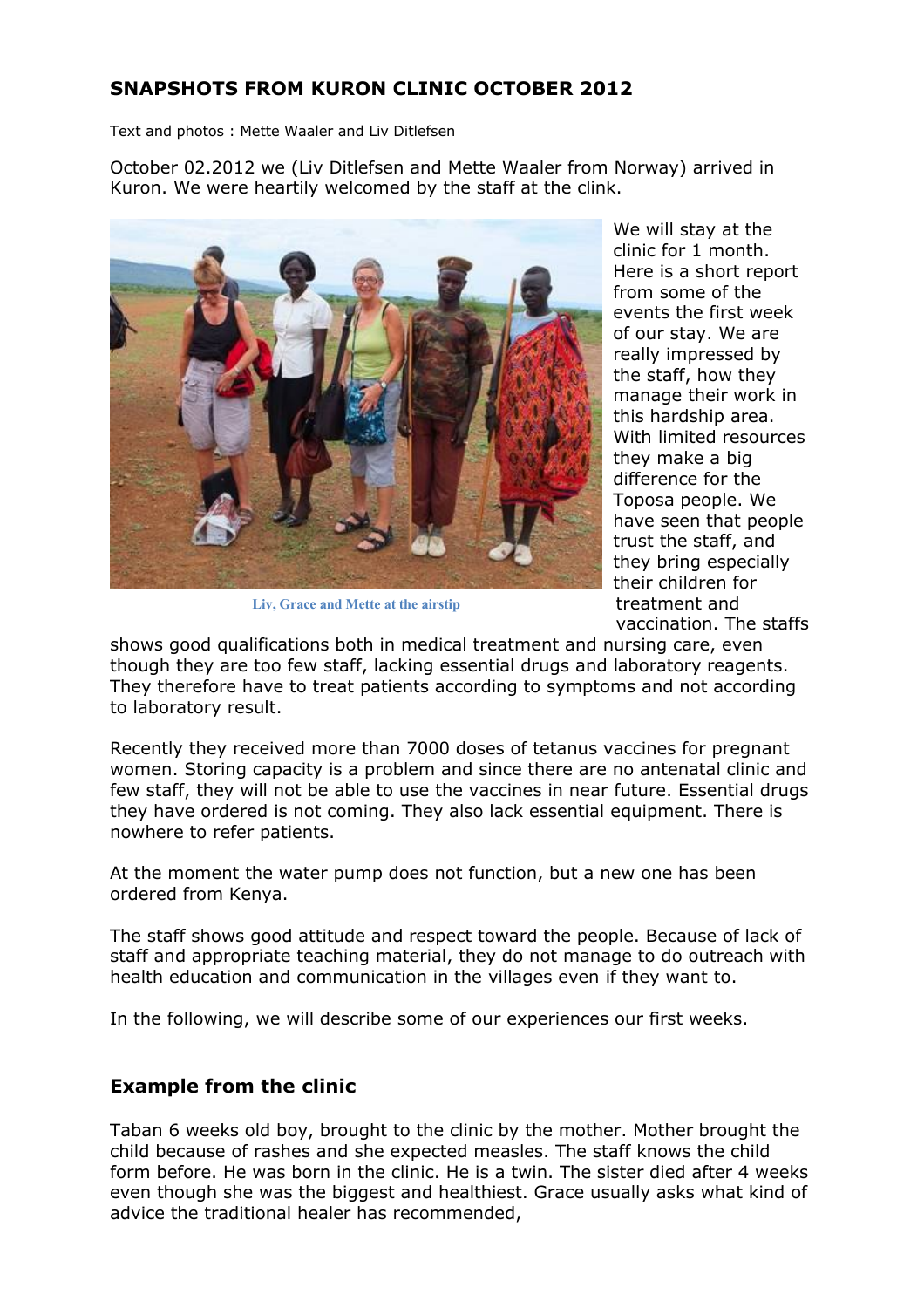# **SNAPSHOTS FROM KURON CLINIC OCTOBER 2012**

Text and photos : Mette Waaler and Liv Ditlefsen

October 02.2012 we (Liv Ditlefsen and Mette Waaler from Norway) arrived in Kuron. We were heartily welcomed by the staff at the clink.



**Liv, Grace and Mette at the airstip**

We will stay at the clinic for 1 month. Here is a short report from some of the events the first week of our stay. We are really impressed by the staff, how they manage their work in this hardship area. With limited resources they make a big difference for the Toposa people. We have seen that people trust the staff, and they bring especially their children for treatment and vaccination. The staffs

shows good qualifications both in medical treatment and nursing care, even though they are too few staff, lacking essential drugs and laboratory reagents. They therefore have to treat patients according to symptoms and not according to laboratory result.

Recently they received more than 7000 doses of tetanus vaccines for pregnant women. Storing capacity is a problem and since there are no antenatal clinic and few staff, they will not be able to use the vaccines in near future. Essential drugs they have ordered is not coming. They also lack essential equipment. There is nowhere to refer patients.

At the moment the water pump does not function, but a new one has been ordered from Kenya.

The staff shows good attitude and respect toward the people. Because of lack of staff and appropriate teaching material, they do not manage to do outreach with health education and communication in the villages even if they want to.

In the following, we will describe some of our experiences our first weeks.

## **Example from the clinic**

Taban 6 weeks old boy, brought to the clinic by the mother. Mother brought the child because of rashes and she expected measles. The staff knows the child form before. He was born in the clinic. He is a twin. The sister died after 4 weeks even though she was the biggest and healthiest. Grace usually asks what kind of advice the traditional healer has recommended,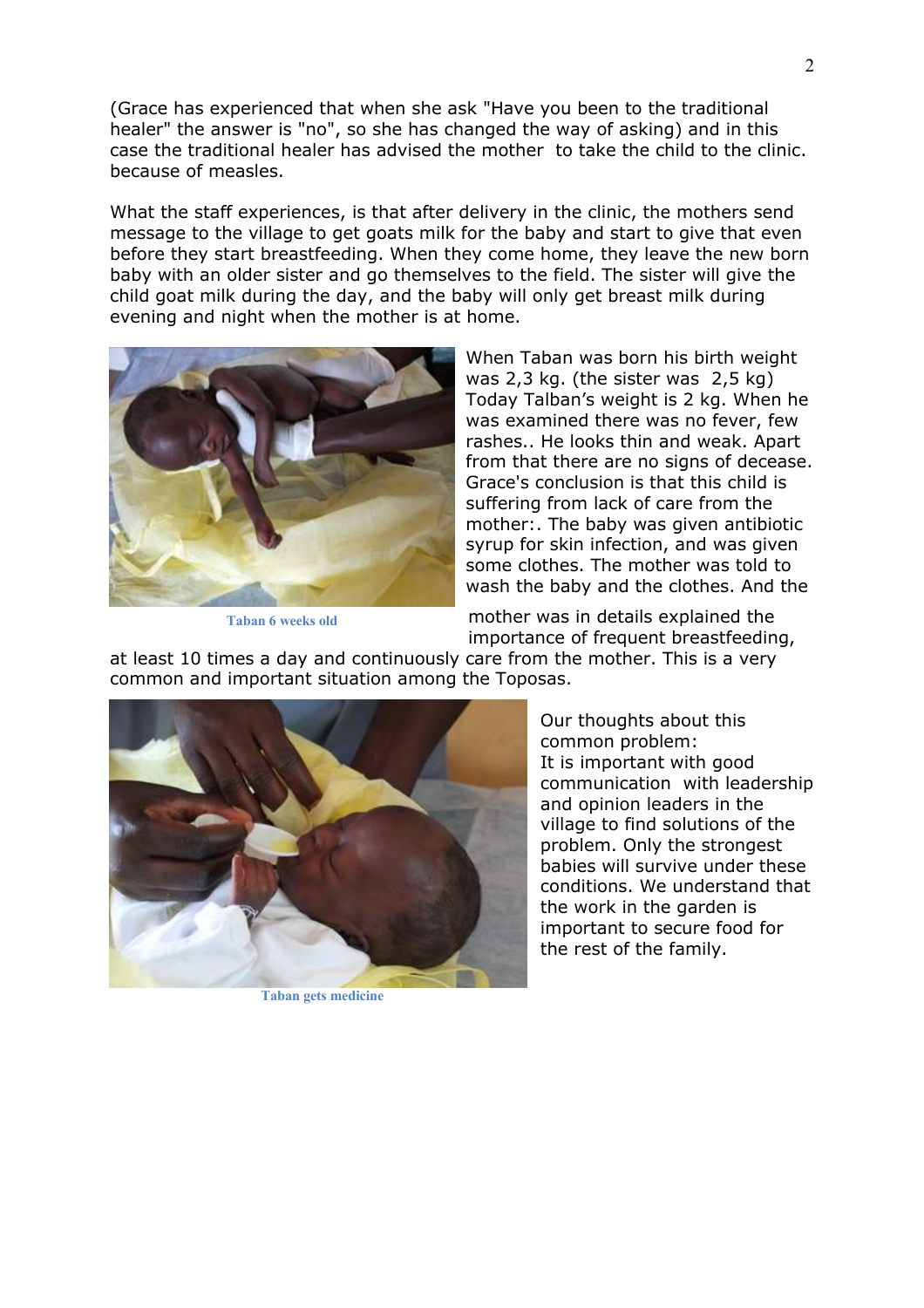(Grace has experienced that when she ask "Have you been to the traditional healer" the answer is "no", so she has changed the way of asking) and in this case the traditional healer has advised the mother to take the child to the clinic. because of measles.

What the staff experiences, is that after delivery in the clinic, the mothers send message to the village to get goats milk for the baby and start to give that even before they start breastfeeding. When they come home, they leave the new born baby with an older sister and go themselves to the field. The sister will give the child goat milk during the day, and the baby will only get breast milk during evening and night when the mother is at home.



**Taban 6 weeks old**

When Taban was born his birth weight was 2,3 kg. (the sister was 2,5 kg) Today Talban's weight is 2 kg. When he was examined there was no fever, few rashes.. He looks thin and weak. Apart from that there are no signs of decease. Grace's conclusion is that this child is suffering from lack of care from the mother:. The baby was given antibiotic syrup for skin infection, and was given some clothes. The mother was told to wash the baby and the clothes. And the

mother was in details explained the importance of frequent breastfeeding,

at least 10 times a day and continuously care from the mother. This is a very common and important situation among the Toposas.



**Taban gets medicine**

Our thoughts about this common problem: It is important with good communication with leadership and opinion leaders in the village to find solutions of the problem. Only the strongest babies will survive under these conditions. We understand that the work in the garden is important to secure food for the rest of the family.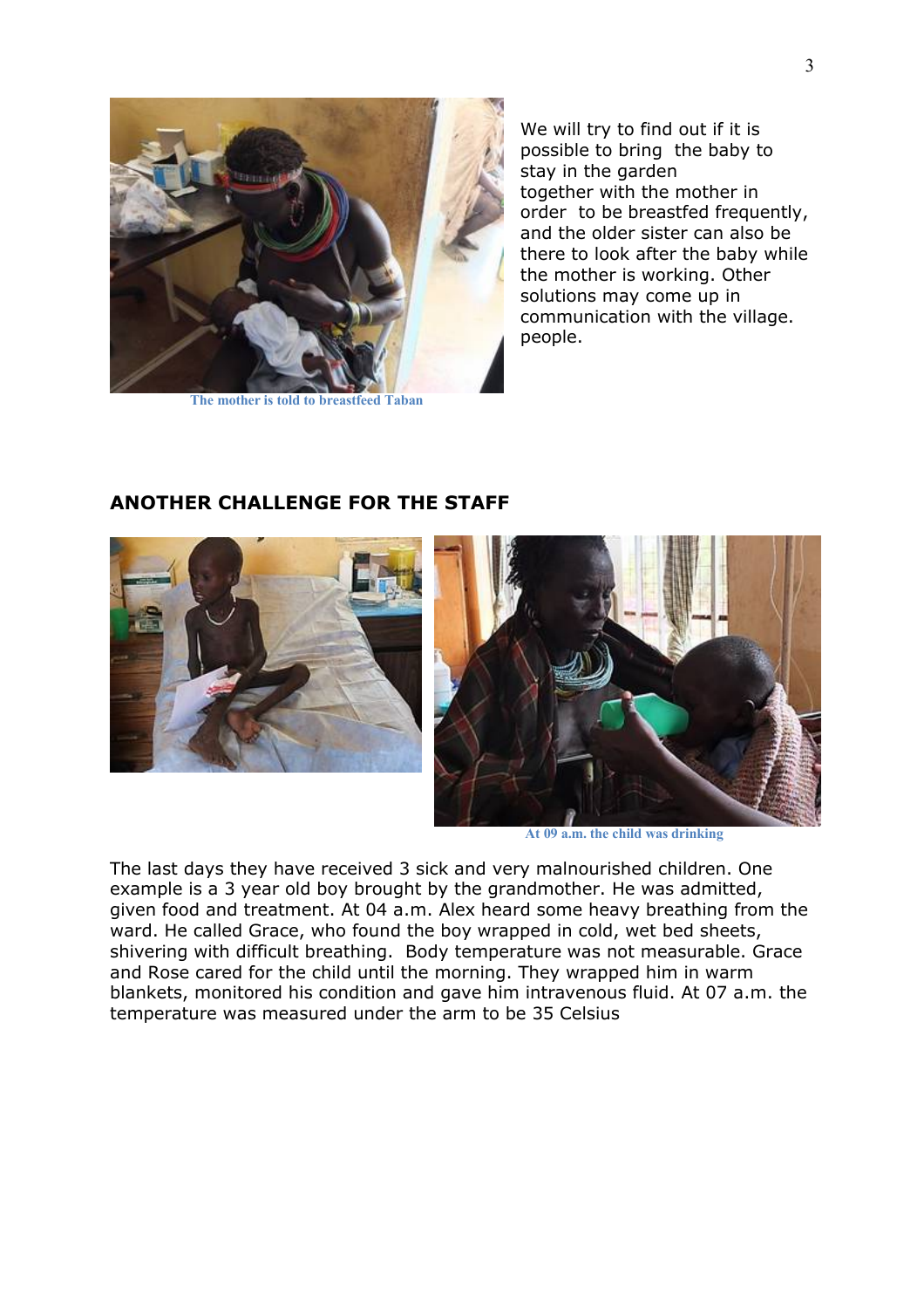

**The mother is told to breastfeed Taban**

We will try to find out if it is possible to bring the baby to stay in the garden together with the mother in order to be breastfed frequently, and the older sister can also be there to look after the baby while the mother is working. Other solutions may come up in communication with the village. people.



### **ANOTHER CHALLENGE FOR THE STAFF**



**At 09 a.m. the child was drinking**

The last days they have received 3 sick and very malnourished children. One example is a 3 year old boy brought by the grandmother. He was admitted, given food and treatment. At 04 a.m. Alex heard some heavy breathing from the ward. He called Grace, who found the boy wrapped in cold, wet bed sheets, shivering with difficult breathing. Body temperature was not measurable. Grace and Rose cared for the child until the morning. They wrapped him in warm blankets, monitored his condition and gave him intravenous fluid. At 07 a.m. the temperature was measured under the arm to be 35 Celsius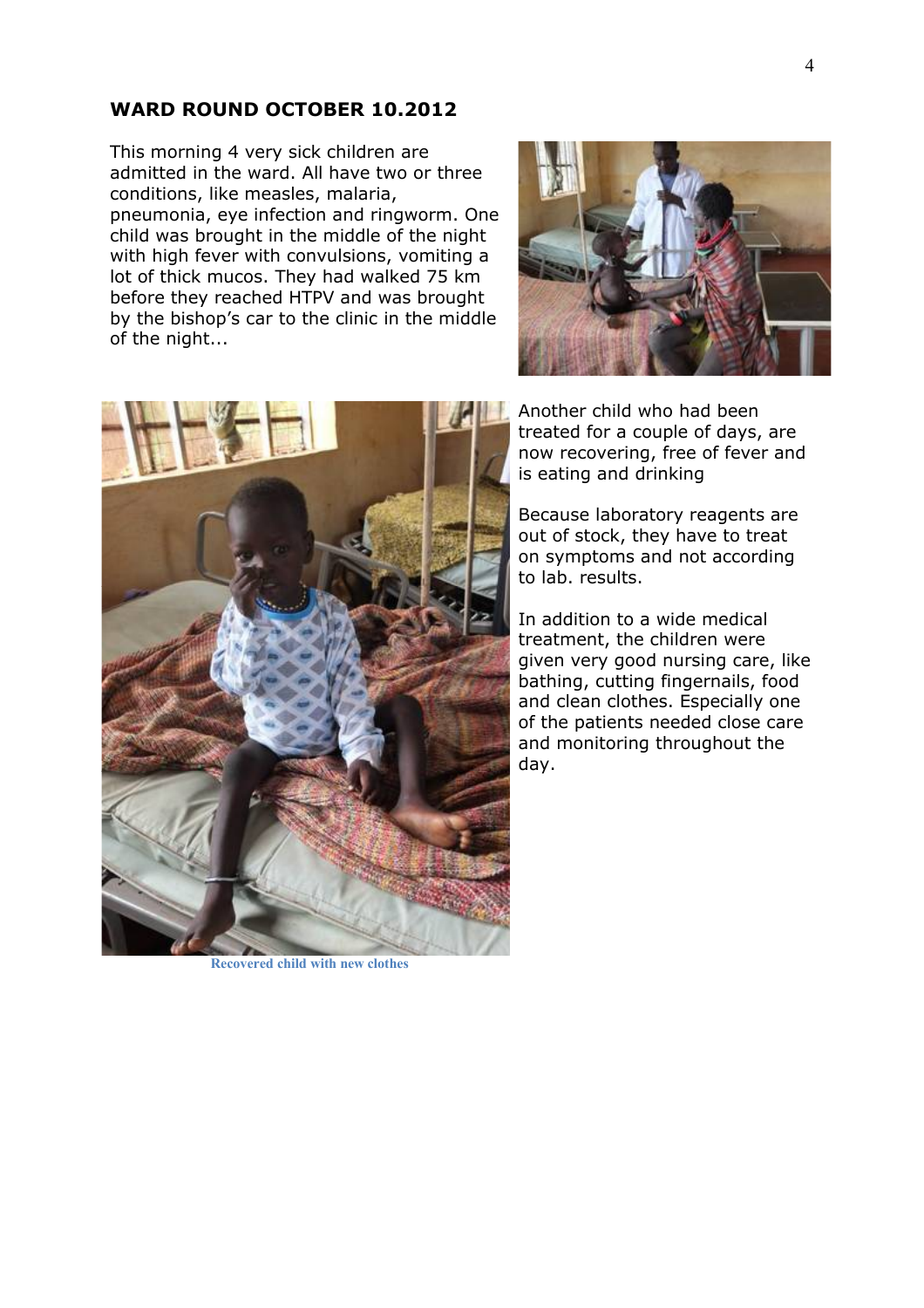#### **WARD ROUND OCTOBER 10.2012**

This morning 4 very sick children are admitted in the ward. All have two or three conditions, like measles, malaria, pneumonia, eye infection and ringworm. One child was brought in the middle of the night with high fever with convulsions, vomiting a lot of thick mucos. They had walked 75 km before they reached HTPV and was brought by the bishop's car to the clinic in the middle of the night...





Another child who had been treated for a couple of days, are now recovering, free of fever and is eating and drinking

Because laboratory reagents are out of stock, they have to treat on symptoms and not according to lab. results.

In addition to a wide medical treatment, the children were given very good nursing care, like bathing, cutting fingernails, food and clean clothes. Especially one of the patients needed close care and monitoring throughout the day.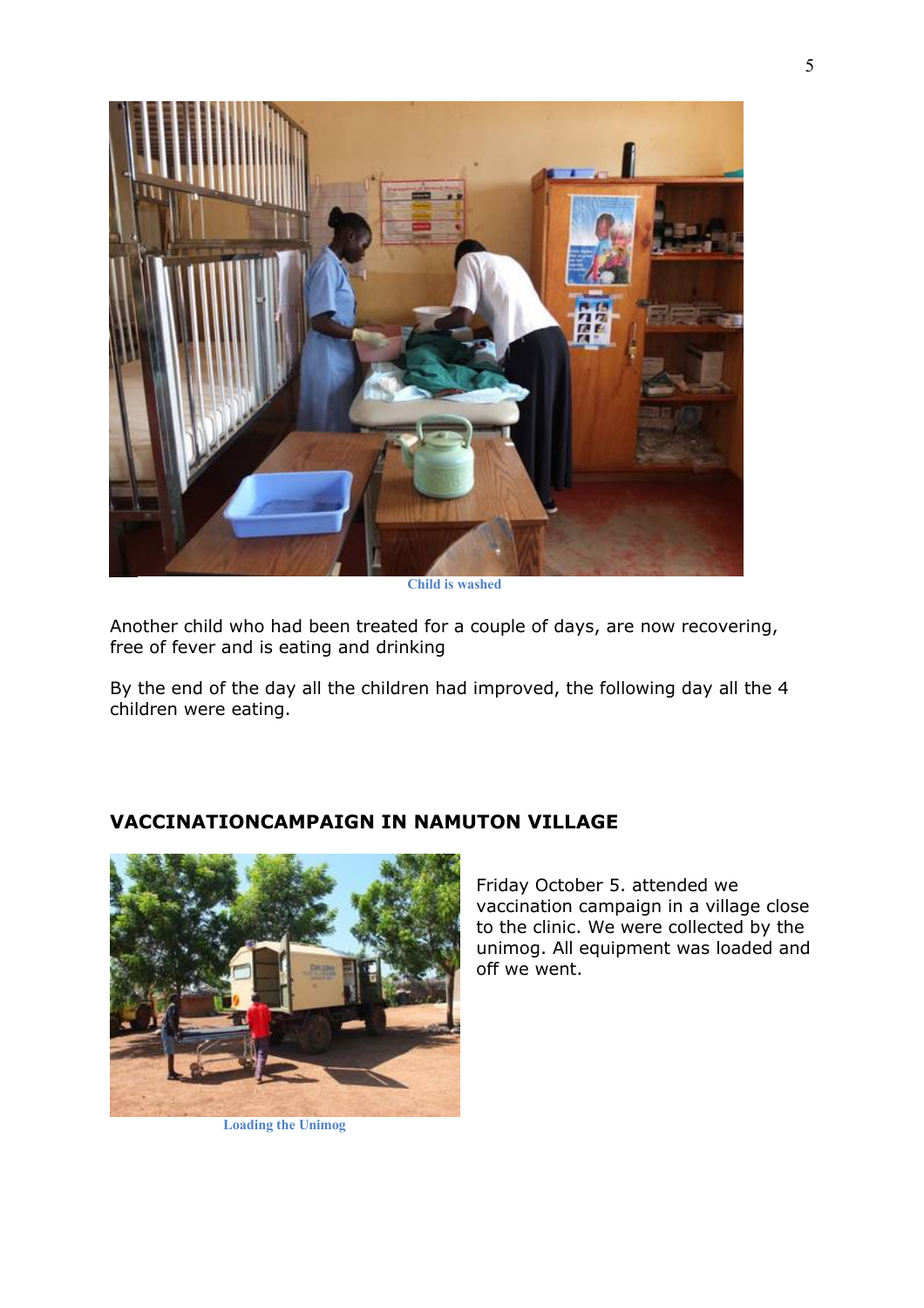

**Child is washed**

Another child who had been treated for a couple of days, are now recovering, free of fever and is eating and drinking

By the end of the day all the children had improved, the following day all the 4 children were eating.



#### **VACCINATIONCAMPAIGN IN NAMUTON VILLAGE**

**Loading the Unimog**

Friday October 5. attended we vaccination campaign in a village close to the clinic. We were collected by the unimog. All equipment was loaded and off we went.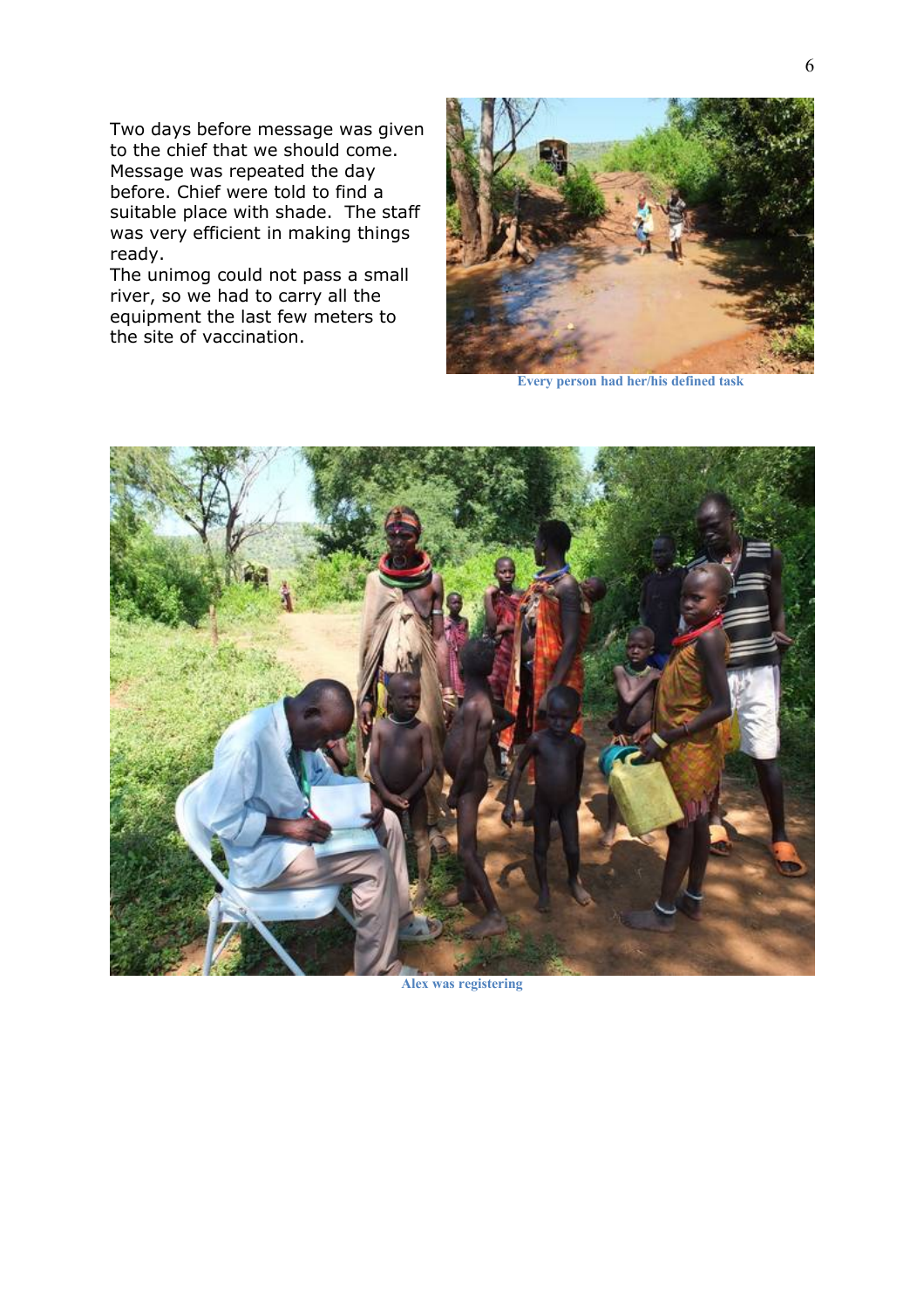Two days before message was given to the chief that we should come. Message was repeated the day before. Chief were told to find a suitable place with shade. The staff was very efficient in making things ready.

The unimog could not pass a small river, so we had to carry all the equipment the last few meters to the site of vaccination.



**Every person had her/his defined task**



**Alex was registering**